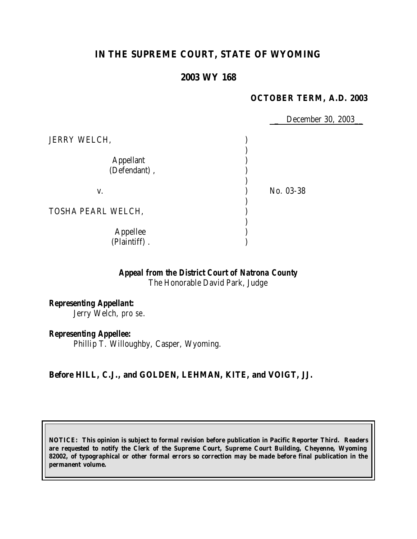# **IN THE SUPREME COURT, STATE OF WYOMING**

# **2003 WY 168**

#### **OCTOBER TERM, A.D. 2003**

December 30, 2003\_ JERRY WELCH, ) ) Appellant (1) (Defendant), ) v. 1. No. 03-38 ) TOSHA PEARL WELCH, ) ) Appellee (a) (Plaintiff) . )

# *Appeal from the District Court of Natrona County*

The Honorable David Park, Judge

*Representing Appellant:* Jerry Welch, *pro se*.

*Representing Appellee:* Phillip T. Willoughby, Casper, Wyoming.

## **Before HILL, C.J., and GOLDEN, LEHMAN, KITE, and VOIGT, JJ.**

**NOTICE: This opinion is subject to formal revision before publication in Pacific Reporter Third. Readers are requested to notify the Clerk of the Supreme Court, Supreme Court Building, Cheyenne, Wyoming 82002, of typographical or other formal errors so correction may be made before final publication in the permanent volume.**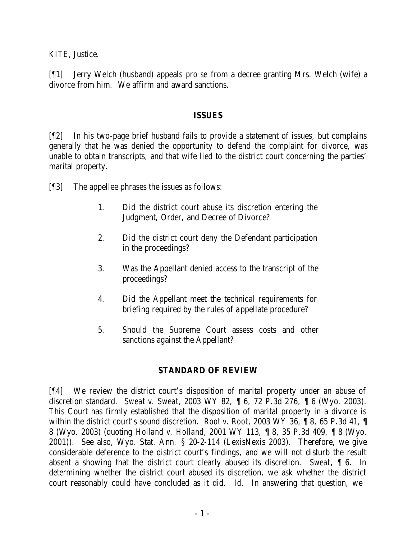KITE, Justice.

[¶1] Jerry Welch (husband) appeals *pro se* from a decree granting Mrs. Welch (wife) a divorce from him. We affirm and award sanctions.

#### **ISSUES**

[¶2] In his two-page brief husband fails to provide a statement of issues, but complains generally that he was denied the opportunity to defend the complaint for divorce, was unable to obtain transcripts, and that wife lied to the district court concerning the parties' marital property.

[¶3] The appellee phrases the issues as follows:

- 1. Did the district court abuse its discretion entering the Judgment, Order, and Decree of Divorce?
- 2. Did the district court deny the Defendant participation in the proceedings?
- 3. Was the Appellant denied access to the transcript of the proceedings?
- 4. Did the Appellant meet the technical requirements for briefing required by the rules of appellate procedure?
- 5. Should the Supreme Court assess costs and other sanctions against the Appellant?

## **STANDARD OF REVIEW**

[¶4] We review the district court's disposition of marital property under an abuse of discretion standard. *Sweat v. Sweat*, 2003 WY 82, ¶ 6, 72 P.3d 276, ¶ 6 (Wyo. 2003). This Court has firmly established that the disposition of marital property in a divorce is within the district court's sound discretion. *Root v. Root*, 2003 WY 36, ¶ 8, 65 P.3d 41, ¶ 8 (Wyo. 2003) (quoting *Holland v. Holland*, 2001 WY 113, ¶ 8, 35 P.3d 409, ¶ 8 (Wyo. 2001)). See also, Wyo. Stat. Ann. § 20-2-114 (LexisNexis 2003). Therefore, we give considerable deference to the district court's findings, and we will not disturb the result absent a showing that the district court clearly abused its discretion. *Sweat*, ¶ 6. In determining whether the district court abused its discretion, we ask whether the district court reasonably could have concluded as it did. *Id.* In answering that question, we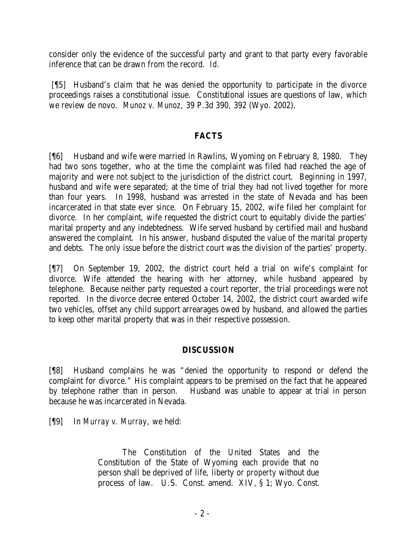consider only the evidence of the successful party and grant to that party every favorable inference that can be drawn from the record. *Id.* 

[¶5] Husband's claim that he was denied the opportunity to participate in the divorce proceedings raises a constitutional issue. Constitutional issues are questions of law, which we review de novo. *Munoz v. Munoz*, 39 P.3d 390, 392 (Wyo. 2002).

#### **FACTS**

[¶6] Husband and wife were married in Rawlins, Wyoming on February 8, 1980. They had two sons together, who at the time the complaint was filed had reached the age of majority and were not subject to the jurisdiction of the district court. Beginning in 1997, husband and wife were separated; at the time of trial they had not lived together for more than four years. In 1998, husband was arrested in the state of Nevada and has been incarcerated in that state ever since. On February 15, 2002, wife filed her complaint for divorce. In her complaint, wife requested the district court to equitably divide the parties' marital property and any indebtedness. Wife served husband by certified mail and husband answered the complaint. In his answer, husband disputed the value of the marital property and debts. The only issue before the district court was the division of the parties' property.

[¶7] On September 19, 2002, the district court held a trial on wife's complaint for divorce. Wife attended the hearing with her attorney, while husband appeared by telephone. Because neither party requested a court reporter, the trial proceedings were not reported. In the divorce decree entered October 14, 2002, the district court awarded wife two vehicles, offset any child support arrearages owed by husband, and allowed the parties to keep other marital property that was in their respective possession.

## **DISCUSSION**

[¶8] Husband complains he was "denied the opportunity to respond or defend the complaint for divorce." His complaint appears to be premised on the fact that he appeared by telephone rather than in person. Husband was unable to appear at trial in person because he was incarcerated in Nevada.

[¶9] In *Murray v. Murray*, we held:

The Constitution of the United States and the Constitution of the State of Wyoming each provide that no person shall be deprived of life, liberty or *property* without due process of law. U.S. Const. amend. XIV, § 1; Wyo. Const.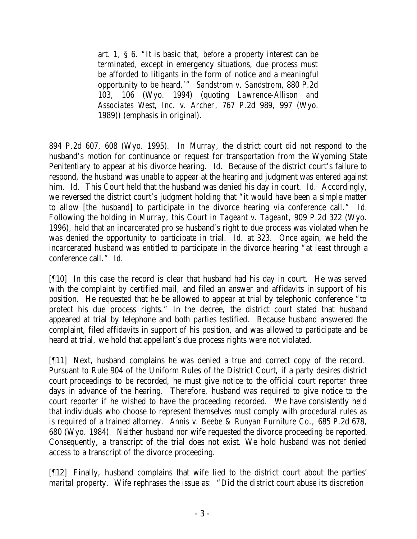art. 1, § 6. "It is basic that, *before* a property interest can be terminated, except in emergency situations, due process must be afforded to litigants in the form of notice and a *meaningful* opportunity to be heard.'" *Sandstrom v. Sandstrom*, 880 P.2d 103, 106 (Wyo. 1994) (quoting *Lawrence-Allison and Associates West, Inc. v. Archer*, 767 P.2d 989, 997 (Wyo. 1989)) (emphasis in original).

894 P.2d 607, 608 (Wyo. 1995). In *Murray*, the district court did not respond to the husband's motion for continuance or request for transportation from the Wyoming State Penitentiary to appear at his divorce hearing. *Id.* Because of the district court's failure to respond, the husband was unable to appear at the hearing and judgment was entered against him. *Id.* This Court held that the husband was denied his day in court. *Id.* Accordingly, we reversed the district court's judgment holding that "it would have been a simple matter to allow [the husband] to participate in the divorce hearing via conference call." *Id.*  Following the holding in *Murray*, this Court in *Tageant v. Tageant*, 909 P.2d 322 (Wyo. 1996), held that an incarcerated *pro se* husband's right to due process was violated when he was denied the opportunity to participate in trial. *Id.* at 323. Once again, we held the incarcerated husband was entitled to participate in the divorce hearing "at least through a conference call." *Id.*

[¶10] In this case the record is clear that husband had his day in court. He was served with the complaint by certified mail, and filed an answer and affidavits in support of his position. He requested that he be allowed to appear at trial by telephonic conference "to protect his due process rights." In the decree, the district court stated that husband appeared at trial by telephone and both parties testified. Because husband answered the complaint, filed affidavits in support of his position, and was allowed to participate and be heard at trial, we hold that appellant's due process rights were not violated.

[¶11] Next, husband complains he was denied a true and correct copy of the record. Pursuant to Rule 904 of the Uniform Rules of the District Court, if a party desires district court proceedings to be recorded, he must give notice to the official court reporter three days in advance of the hearing. Therefore, husband was required to give notice to the court reporter if he wished to have the proceeding recorded. We have consistently held that individuals who choose to represent themselves must comply with procedural rules as is required of a trained attorney. *Annis v. Beebe & Runyan Furniture Co.,* 685 P.2d 678, 680 (Wyo. 1984). Neither husband nor wife requested the divorce proceeding be reported. Consequently, a transcript of the trial does not exist. We hold husband was not denied access to a transcript of the divorce proceeding.

[¶12] Finally, husband complains that wife lied to the district court about the parties' marital property. Wife rephrases the issue as: "Did the district court abuse its discretion